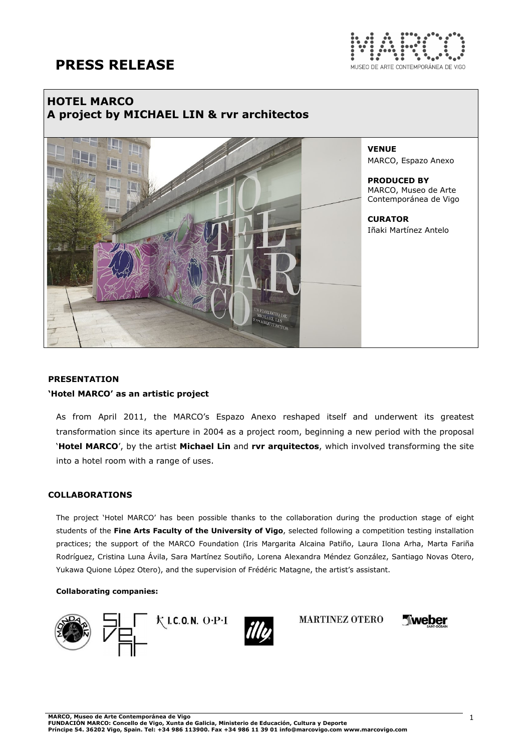

## HOTEL MARCO A project by MICHAEL LIN & rvr architectos



VENUE MARCO, Espazo Anexo

PRODUCED BY MARCO, Museo de Arte Contemporánea de Vigo

**CURATOR** Iñaki Martínez Antelo

## PRESENTATION 'Hotel MARCO' as an artistic project

As from April 2011, the MARCO's Espazo Anexo reshaped itself and underwent its greatest transformation since its aperture in 2004 as a project room, beginning a new period with the proposal 'Hotel MARCO', by the artist Michael Lin and rvr arquitectos, which involved transforming the site into a hotel room with a range of uses.

## COLLABORATIONS

The project 'Hotel MARCO' has been possible thanks to the collaboration during the production stage of eight students of the Fine Arts Faculty of the University of Vigo, selected following a competition testing installation practices; the support of the MARCO Foundation (Iris Margarita Alcaina Patiño, Laura Ilona Arha, Marta Fariña Rodríguez, Cristina Luna Ávila, Sara Martínez Soutiño, Lorena Alexandra Méndez González, Santiago Novas Otero, Yukawa Quione López Otero), and the supervision of Frédéric Matagne, the artist's assistant.

### Collaborating companies:





Tweber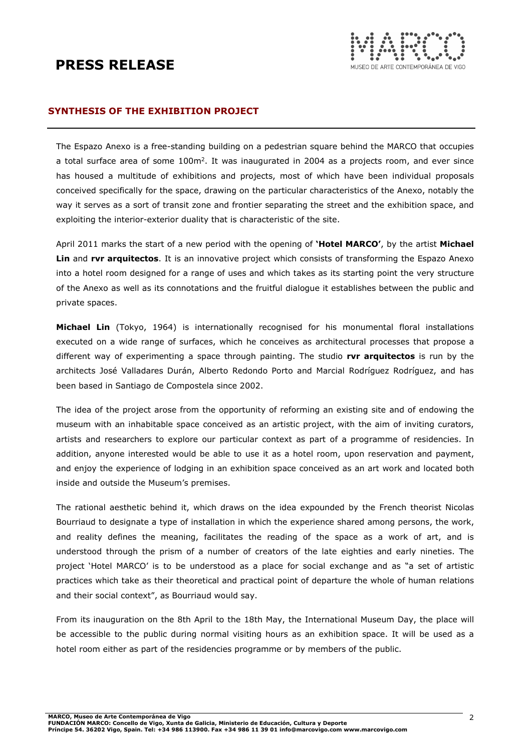

## SYNTHESIS OF THE EXHIBITION PROJECT

The Espazo Anexo is a free-standing building on a pedestrian square behind the MARCO that occupies a total surface area of some 100m<sup>2</sup>. It was inaugurated in 2004 as a projects room, and ever since has housed a multitude of exhibitions and projects, most of which have been individual proposals conceived specifically for the space, drawing on the particular characteristics of the Anexo, notably the way it serves as a sort of transit zone and frontier separating the street and the exhibition space, and exploiting the interior-exterior duality that is characteristic of the site.

April 2011 marks the start of a new period with the opening of 'Hotel MARCO', by the artist Michael Lin and rvr arquitectos. It is an innovative project which consists of transforming the Espazo Anexo into a hotel room designed for a range of uses and which takes as its starting point the very structure of the Anexo as well as its connotations and the fruitful dialogue it establishes between the public and private spaces.

Michael Lin (Tokyo, 1964) is internationally recognised for his monumental floral installations executed on a wide range of surfaces, which he conceives as architectural processes that propose a different way of experimenting a space through painting. The studio rvr arquitectos is run by the architects José Valladares Durán, Alberto Redondo Porto and Marcial Rodríguez Rodríguez, and has been based in Santiago de Compostela since 2002.

The idea of the project arose from the opportunity of reforming an existing site and of endowing the museum with an inhabitable space conceived as an artistic project, with the aim of inviting curators, artists and researchers to explore our particular context as part of a programme of residencies. In addition, anyone interested would be able to use it as a hotel room, upon reservation and payment, and enjoy the experience of lodging in an exhibition space conceived as an art work and located both inside and outside the Museum's premises.

The rational aesthetic behind it, which draws on the idea expounded by the French theorist Nicolas Bourriaud to designate a type of installation in which the experience shared among persons, the work, and reality defines the meaning, facilitates the reading of the space as a work of art, and is understood through the prism of a number of creators of the late eighties and early nineties. The project 'Hotel MARCO' is to be understood as a place for social exchange and as "a set of artistic practices which take as their theoretical and practical point of departure the whole of human relations and their social context", as Bourriaud would say.

From its inauguration on the 8th April to the 18th May, the International Museum Day, the place will be accessible to the public during normal visiting hours as an exhibition space. It will be used as a hotel room either as part of the residencies programme or by members of the public.

MARCO, Museo de Arte Contemporánea de Vigo

FUNDACION MARCO: Concello de Vigo, Xunta de Galicia, Ministerio de Educación, Cultura y Deporte<br>Príncipe 54. 36202 Vigo, Spain. Tel: +34 986 113900. Fax +34 986 11 39 01 info@marcovigo.com www.marcovigo.com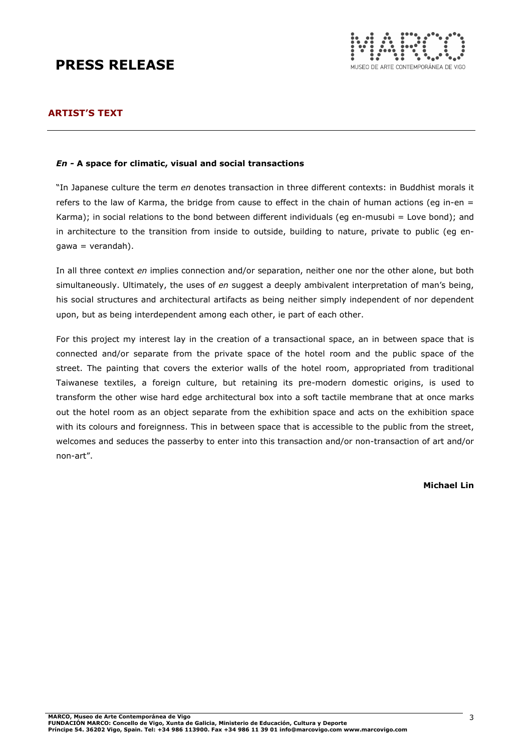

## ARTIST'S TEXT

### En - A space for climatic, visual and social transactions

"In Japanese culture the term en denotes transaction in three different contexts: in Buddhist morals it refers to the law of Karma, the bridge from cause to effect in the chain of human actions (eq in-en  $=$ Karma); in social relations to the bond between different individuals (eg en-musubi = Love bond); and in architecture to the transition from inside to outside, building to nature, private to public (eg engawa = verandah).

In all three context en implies connection and/or separation, neither one nor the other alone, but both simultaneously. Ultimately, the uses of en suggest a deeply ambivalent interpretation of man's being, his social structures and architectural artifacts as being neither simply independent of nor dependent upon, but as being interdependent among each other, ie part of each other.

For this project my interest lay in the creation of a transactional space, an in between space that is connected and/or separate from the private space of the hotel room and the public space of the street. The painting that covers the exterior walls of the hotel room, appropriated from traditional Taiwanese textiles, a foreign culture, but retaining its pre-modern domestic origins, is used to transform the other wise hard edge architectural box into a soft tactile membrane that at once marks out the hotel room as an object separate from the exhibition space and acts on the exhibition space with its colours and foreignness. This in between space that is accessible to the public from the street, welcomes and seduces the passerby to enter into this transaction and/or non-transaction of art and/or non-art".

### Michael Lin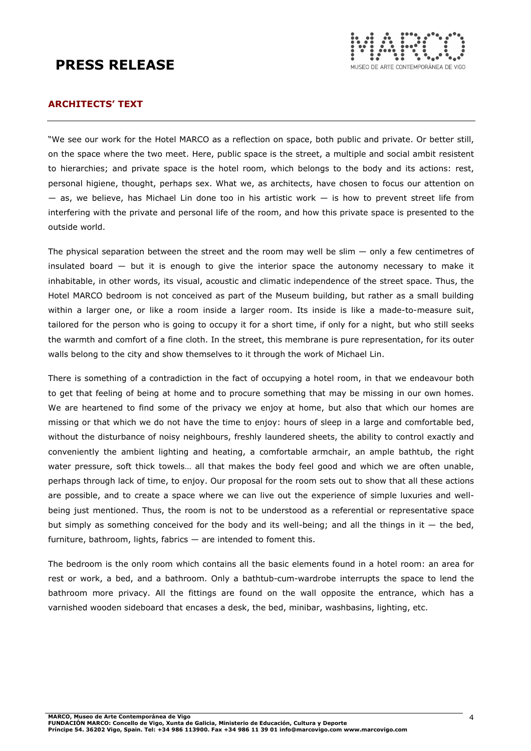

## ARCHITECTS' TEXT

"We see our work for the Hotel MARCO as a reflection on space, both public and private. Or better still, on the space where the two meet. Here, public space is the street, a multiple and social ambit resistent to hierarchies; and private space is the hotel room, which belongs to the body and its actions: rest, personal higiene, thought, perhaps sex. What we, as architects, have chosen to focus our attention on  $-$  as, we believe, has Michael Lin done too in his artistic work  $-$  is how to prevent street life from interfering with the private and personal life of the room, and how this private space is presented to the outside world.

The physical separation between the street and the room may well be slim  $-$  only a few centimetres of insulated board — but it is enough to give the interior space the autonomy necessary to make it inhabitable, in other words, its visual, acoustic and climatic independence of the street space. Thus, the Hotel MARCO bedroom is not conceived as part of the Museum building, but rather as a small building within a larger one, or like a room inside a larger room. Its inside is like a made-to-measure suit, tailored for the person who is going to occupy it for a short time, if only for a night, but who still seeks the warmth and comfort of a fine cloth. In the street, this membrane is pure representation, for its outer walls belong to the city and show themselves to it through the work of Michael Lin.

There is something of a contradiction in the fact of occupying a hotel room, in that we endeavour both to get that feeling of being at home and to procure something that may be missing in our own homes. We are heartened to find some of the privacy we enjoy at home, but also that which our homes are missing or that which we do not have the time to enjoy: hours of sleep in a large and comfortable bed, without the disturbance of noisy neighbours, freshly laundered sheets, the ability to control exactly and conveniently the ambient lighting and heating, a comfortable armchair, an ample bathtub, the right water pressure, soft thick towels... all that makes the body feel good and which we are often unable, perhaps through lack of time, to enjoy. Our proposal for the room sets out to show that all these actions are possible, and to create a space where we can live out the experience of simple luxuries and wellbeing just mentioned. Thus, the room is not to be understood as a referential or representative space but simply as something conceived for the body and its well-being; and all the things in it  $-$  the bed, furniture, bathroom, lights, fabrics — are intended to foment this.

The bedroom is the only room which contains all the basic elements found in a hotel room: an area for rest or work, a bed, and a bathroom. Only a bathtub-cum-wardrobe interrupts the space to lend the bathroom more privacy. All the fittings are found on the wall opposite the entrance, which has a varnished wooden sideboard that encases a desk, the bed, minibar, washbasins, lighting, etc.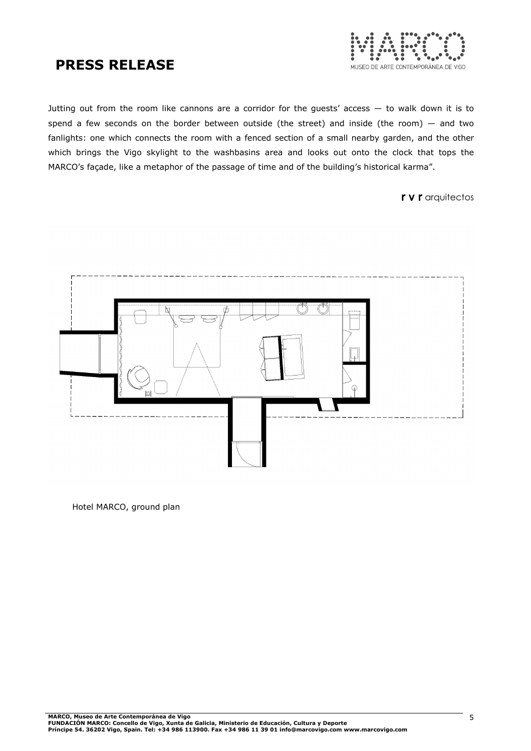

Jutting out from the room like cannons are a corridor for the guests' access — to walk down it is to spend a few seconds on the border between outside (the street) and inside (the room)  $-$  and two fanlights: one which connects the room with a fenced section of a small nearby garden, and the other which brings the Vigo skylight to the washbasins area and looks out onto the clock that tops the MARCO's façade, like a metaphor of the passage of time and of the building's historical karma".

r v r arquitectos



Hotel MARCO, ground plan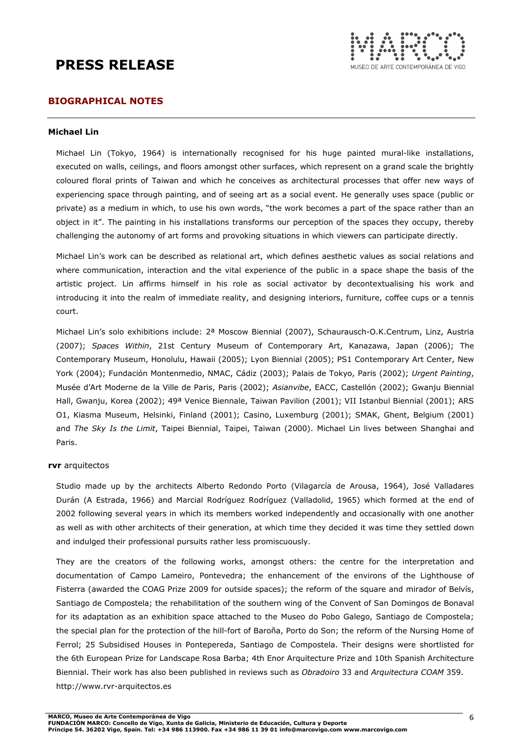

## BIOGRAPHICAL NOTES

#### Michael Lin

Michael Lin (Tokyo, 1964) is internationally recognised for his huge painted mural-like installations, executed on walls, ceilings, and floors amongst other surfaces, which represent on a grand scale the brightly coloured floral prints of Taiwan and which he conceives as architectural processes that offer new ways of experiencing space through painting, and of seeing art as a social event. He generally uses space (public or private) as a medium in which, to use his own words, "the work becomes a part of the space rather than an object in it". The painting in his installations transforms our perception of the spaces they occupy, thereby challenging the autonomy of art forms and provoking situations in which viewers can participate directly.

Michael Lin's work can be described as relational art, which defines aesthetic values as social relations and where communication, interaction and the vital experience of the public in a space shape the basis of the artistic project. Lin affirms himself in his role as social activator by decontextualising his work and introducing it into the realm of immediate reality, and designing interiors, furniture, coffee cups or a tennis court.

Michael Lin's solo exhibitions include: 2ª Moscow Biennial (2007), Schaurausch-O.K.Centrum, Linz, Austria (2007); Spaces Within, 21st Century Museum of Contemporary Art, Kanazawa, Japan (2006); The Contemporary Museum, Honolulu, Hawaii (2005); Lyon Biennial (2005); PS1 Contemporary Art Center, New York (2004); Fundación Montenmedio, NMAC, Cádiz (2003); Palais de Tokyo, Paris (2002); Urgent Painting, Musée d'Art Moderne de la Ville de Paris, Paris (2002); Asianvibe, EACC, Castellón (2002); Gwanju Biennial Hall, Gwanju, Korea (2002); 49<sup>a</sup> Venice Biennale, Taiwan Pavilion (2001); VII Istanbul Biennial (2001); ARS O1, Kiasma Museum, Helsinki, Finland (2001); Casino, Luxemburg (2001); SMAK, Ghent, Belgium (2001) and The Sky Is the Limit, Taipei Biennial, Taipei, Taiwan (2000). Michael Lin lives between Shanghai and Paris.

#### rvr arquitectos

Studio made up by the architects Alberto Redondo Porto (Vilagarcía de Arousa, 1964), José Valladares Durán (A Estrada, 1966) and Marcial Rodríguez Rodríguez (Valladolid, 1965) which formed at the end of 2002 following several years in which its members worked independently and occasionally with one another as well as with other architects of their generation, at which time they decided it was time they settled down and indulged their professional pursuits rather less promiscuously.

They are the creators of the following works, amongst others: the centre for the interpretation and documentation of Campo Lameiro, Pontevedra; the enhancement of the environs of the Lighthouse of Fisterra (awarded the COAG Prize 2009 for outside spaces); the reform of the square and mirador of Belvís, Santiago de Compostela; the rehabilitation of the southern wing of the Convent of San Domingos de Bonaval for its adaptation as an exhibition space attached to the Museo do Pobo Galego, Santiago de Compostela; the special plan for the protection of the hill-fort of Baroña, Porto do Son; the reform of the Nursing Home of Ferrol; 25 Subsidised Houses in Pontepereda, Santiago de Compostela. Their designs were shortlisted for the 6th European Prize for Landscape Rosa Barba; 4th Enor Arquitecture Prize and 10th Spanish Architecture Biennial. Their work has also been published in reviews such as Obradoiro 33 and Arquitectura COAM 359. http://www.rvr-arquitectos.es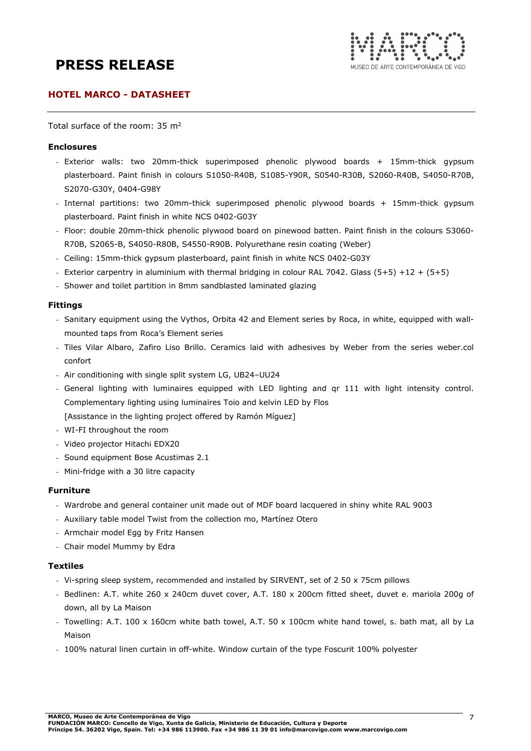

## HOTEL MARCO - DATASHEET

Total surface of the room: 35 m<sup>2</sup>

### Enclosures

- Exterior walls: two 20mm-thick superimposed phenolic plywood boards + 15mm-thick gypsum plasterboard. Paint finish in colours S1050-R40B, S1085-Y90R, S0540-R30B, S2060-R40B, S4050-R70B, S2070-G30Y, 0404-G98Y
- Internal partitions: two 20mm-thick superimposed phenolic plywood boards + 15mm-thick gypsum plasterboard. Paint finish in white NCS 0402-G03Y
- Floor: double 20mm-thick phenolic plywood board on pinewood batten. Paint finish in the colours S3060- R70B, S2065-B, S4050-R80B, S4550-R90B. Polyurethane resin coating (Weber)
- Ceiling: 15mm-thick gypsum plasterboard, paint finish in white NCS 0402-G03Y
- Exterior carpentry in aluminium with thermal bridging in colour RAL 7042. Glass (5+5) +12 + (5+5)
- Shower and toilet partition in 8mm sandblasted laminated glazing

#### Fittings

- Sanitary equipment using the Vythos, Orbita 42 and Element series by Roca, in white, equipped with wallmounted taps from Roca's Element series
- Tiles Vilar Albaro, Zafiro Liso Brillo. Ceramics laid with adhesives by Weber from the series weber.col confort
- Air conditioning with single split system LG, UB24–UU24
- General lighting with luminaires equipped with LED lighting and qr 111 with light intensity control. Complementary lighting using luminaires Toio and kelvin LED by Flos [Assistance in the lighting project offered by Ramón Míguez]
- WI-FI throughout the room
- Video projector Hitachi EDX20
- Sound equipment Bose Acustimas 2.1
- Mini-fridge with a 30 litre capacity

#### Furniture

- Wardrobe and general container unit made out of MDF board lacquered in shiny white RAL 9003
- Auxiliary table model Twist from the collection mo, Martínez Otero
- Armchair model Egg by Fritz Hansen
- Chair model Mummy by Edra

#### Textiles

- Vi-spring sleep system, recommended and installed by SIRVENT, set of 2 50 x 75cm pillows
- Bedlinen: A.T. white 260 x 240cm duvet cover, A.T. 180 x 200cm fitted sheet, duvet e. mariola 200g of down, all by La Maison
- Towelling: A.T. 100 x 160cm white bath towel, A.T. 50 x 100cm white hand towel, s. bath mat, all by La Maison
- 100% natural linen curtain in off-white. Window curtain of the type Foscurit 100% polyester

FUNDACION MARCO: Concello de Vigo, Xunta de Galicia, Ministerio de Educación, Cultura y Deporte<br>Príncipe 54. 36202 Vigo, Spain. Tel: +34 986 113900. Fax +34 986 11 39 01 info@marcovigo.com www.marcovigo.com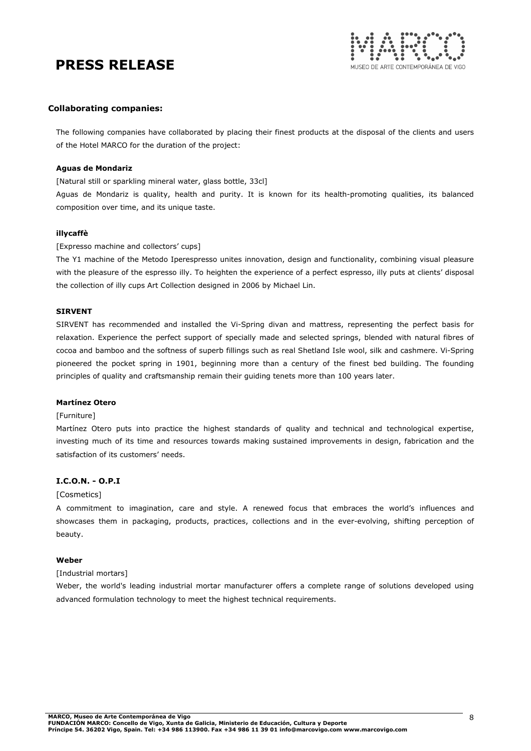

### Collaborating companies:

The following companies have collaborated by placing their finest products at the disposal of the clients and users of the Hotel MARCO for the duration of the project:

#### Aguas de Mondariz

[Natural still or sparkling mineral water, glass bottle, 33cl]

Aguas de Mondariz is quality, health and purity. It is known for its health-promoting qualities, its balanced composition over time, and its unique taste.

#### illycaffè

#### [Expresso machine and collectors' cups]

The Y1 machine of the Metodo Iperespresso unites innovation, design and functionality, combining visual pleasure with the pleasure of the espresso illy. To heighten the experience of a perfect espresso, illy puts at clients' disposal the collection of illy cups Art Collection designed in 2006 by Michael Lin.

### SIRVENT

SIRVENT has recommended and installed the Vi-Spring divan and mattress, representing the perfect basis for relaxation. Experience the perfect support of specially made and selected springs, blended with natural fibres of cocoa and bamboo and the softness of superb fillings such as real Shetland Isle wool, silk and cashmere. Vi-Spring pioneered the pocket spring in 1901, beginning more than a century of the finest bed building. The founding principles of quality and craftsmanship remain their guiding tenets more than 100 years later.

#### Martínez Otero

### [Furniture]

Martínez Otero puts into practice the highest standards of quality and technical and technological expertise, investing much of its time and resources towards making sustained improvements in design, fabrication and the satisfaction of its customers' needs.

#### I.C.O.N. - O.P.I

#### [Cosmetics]

A commitment to imagination, care and style. A renewed focus that embraces the world's influences and showcases them in packaging, products, practices, collections and in the ever-evolving, shifting perception of beauty.

#### Weber

### [Industrial mortars]

Weber, the world's leading industrial mortar manufacturer offers a complete range of solutions developed using advanced formulation technology to meet the highest technical requirements.